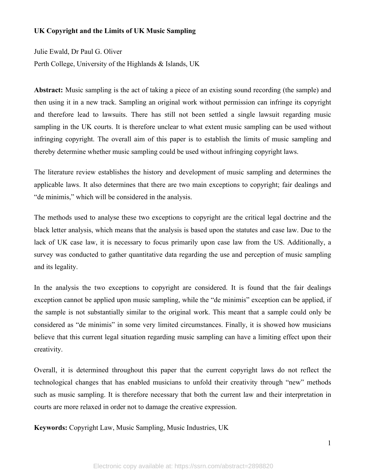# **UK Copyright and the Limits of UK Music Sampling**

Julie Ewald, Dr Paul G. Oliver Perth College, University of the Highlands & Islands, UK

**Abstract:** Music sampling is the act of taking a piece of an existing sound recording (the sample) and then using it in a new track. Sampling an original work without permission can infringe its copyright and therefore lead to lawsuits. There has still not been settled a single lawsuit regarding music sampling in the UK courts. It is therefore unclear to what extent music sampling can be used without infringing copyright. The overall aim of this paper is to establish the limits of music sampling and thereby determine whether music sampling could be used without infringing copyright laws.

The literature review establishes the history and development of music sampling and determines the applicable laws. It also determines that there are two main exceptions to copyright; fair dealings and "de minimis," which will be considered in the analysis.

The methods used to analyse these two exceptions to copyright are the critical legal doctrine and the black letter analysis, which means that the analysis is based upon the statutes and case law. Due to the lack of UK case law, it is necessary to focus primarily upon case law from the US. Additionally, a survey was conducted to gather quantitative data regarding the use and perception of music sampling and its legality.

In the analysis the two exceptions to copyright are considered. It is found that the fair dealings exception cannot be applied upon music sampling, while the "de minimis" exception can be applied, if the sample is not substantially similar to the original work. This meant that a sample could only be considered as "de minimis" in some very limited circumstances. Finally, it is showed how musicians believe that this current legal situation regarding music sampling can have a limiting effect upon their creativity.

Overall, it is determined throughout this paper that the current copyright laws do not reflect the technological changes that has enabled musicians to unfold their creativity through "new" methods such as music sampling. It is therefore necessary that both the current law and their interpretation in courts are more relaxed in order not to damage the creative expression.

**Keywords:** Copyright Law, Music Sampling, Music Industries, UK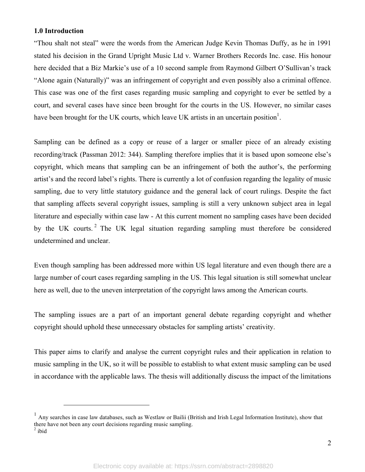#### **1.0 Introduction**

"Thou shalt not steal" were the words from the American Judge Kevin Thomas Duffy, as he in 1991 stated his decision in the Grand Upright Music Ltd v. Warner Brothers Records Inc. case. His honour here decided that a Biz Markie's use of a 10 second sample from Raymond Gilbert O'Sullivan's track "Alone again (Naturally)" was an infringement of copyright and even possibly also a criminal offence. This case was one of the first cases regarding music sampling and copyright to ever be settled by a court, and several cases have since been brought for the courts in the US. However, no similar cases have been brought for the UK courts, which leave UK artists in an uncertain position<sup>1</sup>.

Sampling can be defined as a copy or reuse of a larger or smaller piece of an already existing recording/track (Passman 2012: 344). Sampling therefore implies that it is based upon someone else's copyright, which means that sampling can be an infringement of both the author's, the performing artist's and the record label's rights. There is currently a lot of confusion regarding the legality of music sampling, due to very little statutory guidance and the general lack of court rulings. Despite the fact that sampling affects several copyright issues, sampling is still a very unknown subject area in legal literature and especially within case law - At this current moment no sampling cases have been decided by the UK courts.<sup>2</sup> The UK legal situation regarding sampling must therefore be considered undetermined and unclear.

Even though sampling has been addressed more within US legal literature and even though there are a large number of court cases regarding sampling in the US. This legal situation is still somewhat unclear here as well, due to the uneven interpretation of the copyright laws among the American courts.

The sampling issues are a part of an important general debate regarding copyright and whether copyright should uphold these unnecessary obstacles for sampling artists' creativity.

This paper aims to clarify and analyse the current copyright rules and their application in relation to music sampling in the UK, so it will be possible to establish to what extent music sampling can be used in accordance with the applicable laws. The thesis will additionally discuss the impact of the limitations

<u>.</u>

 $<sup>1</sup>$  Any searches in case law databases, such as Westlaw or Bailii (British and Irish Legal Information Institute), show that</sup> there have not been any court decisions regarding music sampling.

 $2$  ibid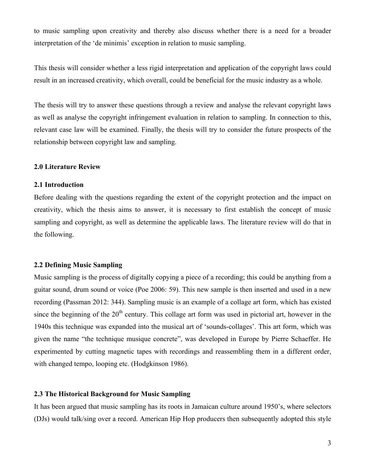to music sampling upon creativity and thereby also discuss whether there is a need for a broader interpretation of the 'de minimis' exception in relation to music sampling.

This thesis will consider whether a less rigid interpretation and application of the copyright laws could result in an increased creativity, which overall, could be beneficial for the music industry as a whole.

The thesis will try to answer these questions through a review and analyse the relevant copyright laws as well as analyse the copyright infringement evaluation in relation to sampling. In connection to this, relevant case law will be examined. Finally, the thesis will try to consider the future prospects of the relationship between copyright law and sampling.

# **2.0 Literature Review**

# **2.1 Introduction**

Before dealing with the questions regarding the extent of the copyright protection and the impact on creativity, which the thesis aims to answer, it is necessary to first establish the concept of music sampling and copyright, as well as determine the applicable laws. The literature review will do that in the following.

### **2.2 Defining Music Sampling**

Music sampling is the process of digitally copying a piece of a recording; this could be anything from a guitar sound, drum sound or voice (Poe 2006: 59). This new sample is then inserted and used in a new recording (Passman 2012: 344). Sampling music is an example of a collage art form, which has existed since the beginning of the  $20<sup>th</sup>$  century. This collage art form was used in pictorial art, however in the 1940s this technique was expanded into the musical art of 'sounds-collages'. This art form, which was given the name "the technique musique concrete", was developed in Europe by Pierre Schaeffer. He experimented by cutting magnetic tapes with recordings and reassembling them in a different order, with changed tempo, looping etc. (Hodgkinson 1986).

# **2.3 The Historical Background for Music Sampling**

It has been argued that music sampling has its roots in Jamaican culture around 1950's, where selectors (DJs) would talk/sing over a record. American Hip Hop producers then subsequently adopted this style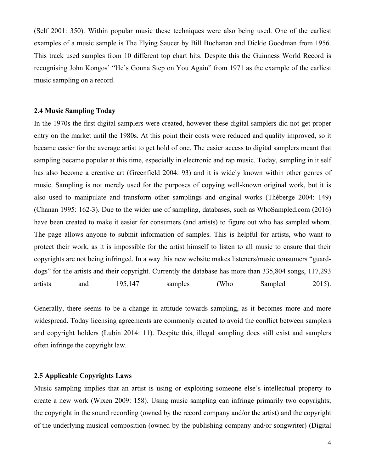(Self 2001: 350). Within popular music these techniques were also being used. One of the earliest examples of a music sample is The Flying Saucer by Bill Buchanan and Dickie Goodman from 1956. This track used samples from 10 different top chart hits. Despite this the Guinness World Record is recognising John Kongos' "He's Gonna Step on You Again" from 1971 as the example of the earliest music sampling on a record.

# **2.4 Music Sampling Today**

In the 1970s the first digital samplers were created, however these digital samplers did not get proper entry on the market until the 1980s. At this point their costs were reduced and quality improved, so it became easier for the average artist to get hold of one. The easier access to digital samplers meant that sampling became popular at this time, especially in electronic and rap music. Today, sampling in it self has also become a creative art (Greenfield 2004: 93) and it is widely known within other genres of music. Sampling is not merely used for the purposes of copying well-known original work, but it is also used to manipulate and transform other samplings and original works (Théberge 2004: 149) (Chanan 1995: 162-3). Due to the wider use of sampling, databases, such as WhoSampled.com (2016) have been created to make it easier for consumers (and artists) to figure out who has sampled whom. The page allows anyone to submit information of samples. This is helpful for artists, who want to protect their work, as it is impossible for the artist himself to listen to all music to ensure that their copyrights are not being infringed. In a way this new website makes listeners/music consumers "guarddogs" for the artists and their copyright. Currently the database has more than 335,804 songs, 117,293 artists and 195,147 samples (Who Sampled 2015).

Generally, there seems to be a change in attitude towards sampling, as it becomes more and more widespread. Today licensing agreements are commonly created to avoid the conflict between samplers and copyright holders (Lubin 2014: 11). Despite this, illegal sampling does still exist and samplers often infringe the copyright law.

#### **2.5 Applicable Copyrights Laws**

Music sampling implies that an artist is using or exploiting someone else's intellectual property to create a new work (Wixen 2009: 158). Using music sampling can infringe primarily two copyrights; the copyright in the sound recording (owned by the record company and/or the artist) and the copyright of the underlying musical composition (owned by the publishing company and/or songwriter) (Digital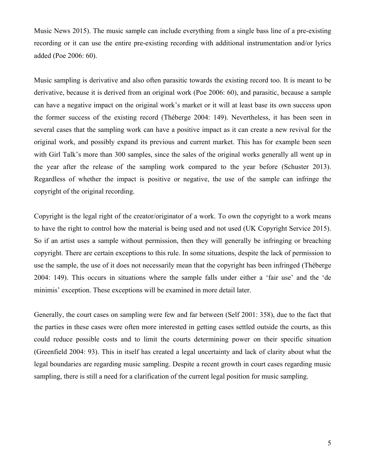Music News 2015). The music sample can include everything from a single bass line of a pre-existing recording or it can use the entire pre-existing recording with additional instrumentation and/or lyrics added (Poe 2006: 60).

Music sampling is derivative and also often parasitic towards the existing record too. It is meant to be derivative, because it is derived from an original work (Poe 2006: 60), and parasitic, because a sample can have a negative impact on the original work's market or it will at least base its own success upon the former success of the existing record (Théberge 2004: 149). Nevertheless, it has been seen in several cases that the sampling work can have a positive impact as it can create a new revival for the original work, and possibly expand its previous and current market. This has for example been seen with Girl Talk's more than 300 samples, since the sales of the original works generally all went up in the year after the release of the sampling work compared to the year before (Schuster 2013). Regardless of whether the impact is positive or negative, the use of the sample can infringe the copyright of the original recording.

Copyright is the legal right of the creator/originator of a work. To own the copyright to a work means to have the right to control how the material is being used and not used (UK Copyright Service 2015). So if an artist uses a sample without permission, then they will generally be infringing or breaching copyright. There are certain exceptions to this rule. In some situations, despite the lack of permission to use the sample, the use of it does not necessarily mean that the copyright has been infringed (Théberge 2004: 149). This occurs in situations where the sample falls under either a 'fair use' and the 'de minimis' exception. These exceptions will be examined in more detail later.

Generally, the court cases on sampling were few and far between (Self 2001: 358), due to the fact that the parties in these cases were often more interested in getting cases settled outside the courts, as this could reduce possible costs and to limit the courts determining power on their specific situation (Greenfield 2004: 93). This in itself has created a legal uncertainty and lack of clarity about what the legal boundaries are regarding music sampling. Despite a recent growth in court cases regarding music sampling, there is still a need for a clarification of the current legal position for music sampling.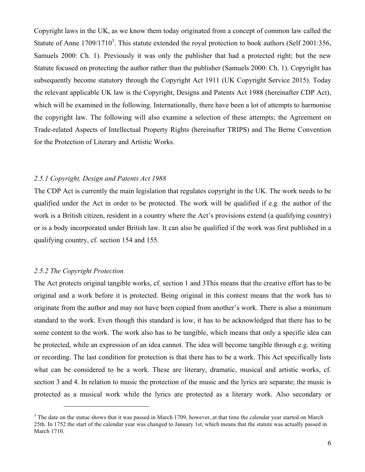Copyright laws in the UK, as we know them today originated from a concept of common law called the Statute of Anne  $1709/1710^3$ . This statute extended the royal protection to book authors (Self 2001:356, Samuels 2000: Ch. 1). Previously it was only the publisher that had a protected right; but the new Statute focused on protecting the author rather than the publisher (Samuels 2000: Ch. 1). Copyright has subsequently become statutory through the Copyright Act 1911 (UK Copyright Service 2015). Today the relevant applicable UK law is the Copyright, Designs and Patents Act 1988 (hereinafter CDP Act), which will be examined in the following. Internationally, there have been a lot of attempts to harmonise the copyright law. The following will also examine a selection of these attempts; the Agreement on Trade-related Aspects of Intellectual Property Rights (hereinafter TRIPS) and The Berne Convention for the Protection of Literary and Artistic Works.

# *2.5.1 Copyright, Design and Patents Act 1988*

The CDP Act is currently the main legislation that regulates copyright in the UK. The work needs to be qualified under the Act in order to be protected. The work will be qualified if e.g. the author of the work is a British citizen, resident in a country where the Act's provisions extend (a qualifying country) or is a body incorporated under British law. It can also be qualified if the work was first published in a qualifying country, cf. section 154 and 155.

#### *2.5.2 The Copyright Protection*

1

The Act protects original tangible works, cf. section 1 and 3This means that the creative effort has to be original and a work before it is protected. Being original in this context means that the work has to originate from the author and may not have been copied from another's work. There is also a minimum standard to the work. Even though this standard is low, it has to be acknowledged that there has to be some content to the work. The work also has to be tangible, which means that only a specific idea can be protected, while an expression of an idea cannot. The idea will become tangible through e.g. writing or recording. The last condition for protection is that there has to be a work. This Act specifically lists what can be considered to be a work. These are literary, dramatic, musical and artistic works, cf. section 3 and 4. In relation to music the protection of the music and the lyrics are separate; the music is protected as a musical work while the lyrics are protected as a literary work. Also secondary or

 $3$  The date on the statue shows that it was passed in March 1709, however, at that time the calendar year started on March 25th. In 1752 the start of the calendar year was changed to January 1st, which means that the statute was actually passed in March 1710.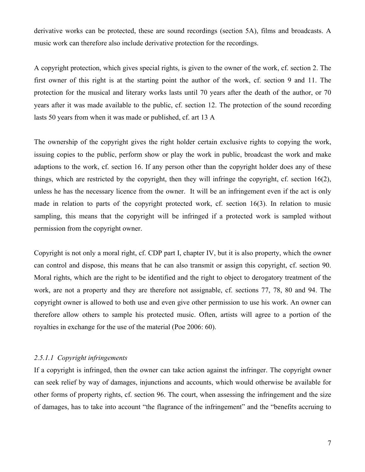derivative works can be protected, these are sound recordings (section 5A), films and broadcasts. A music work can therefore also include derivative protection for the recordings.

A copyright protection, which gives special rights, is given to the owner of the work, cf. section 2. The first owner of this right is at the starting point the author of the work, cf. section 9 and 11. The protection for the musical and literary works lasts until 70 years after the death of the author, or 70 years after it was made available to the public, cf. section 12. The protection of the sound recording lasts 50 years from when it was made or published, cf. art 13 A

The ownership of the copyright gives the right holder certain exclusive rights to copying the work, issuing copies to the public, perform show or play the work in public, broadcast the work and make adaptions to the work, cf. section 16. If any person other than the copyright holder does any of these things, which are restricted by the copyright, then they will infringe the copyright, cf. section 16(2), unless he has the necessary licence from the owner. It will be an infringement even if the act is only made in relation to parts of the copyright protected work, cf. section 16(3). In relation to music sampling, this means that the copyright will be infringed if a protected work is sampled without permission from the copyright owner.

Copyright is not only a moral right, cf. CDP part I, chapter IV, but it is also property, which the owner can control and dispose, this means that he can also transmit or assign this copyright, cf. section 90. Moral rights, which are the right to be identified and the right to object to derogatory treatment of the work, are not a property and they are therefore not assignable, cf. sections 77, 78, 80 and 94. The copyright owner is allowed to both use and even give other permission to use his work. An owner can therefore allow others to sample his protected music. Often, artists will agree to a portion of the royalties in exchange for the use of the material (Poe 2006: 60).

#### *2.5.1.1 Copyright infringements*

If a copyright is infringed, then the owner can take action against the infringer. The copyright owner can seek relief by way of damages, injunctions and accounts, which would otherwise be available for other forms of property rights, cf. section 96. The court, when assessing the infringement and the size of damages, has to take into account "the flagrance of the infringement" and the "benefits accruing to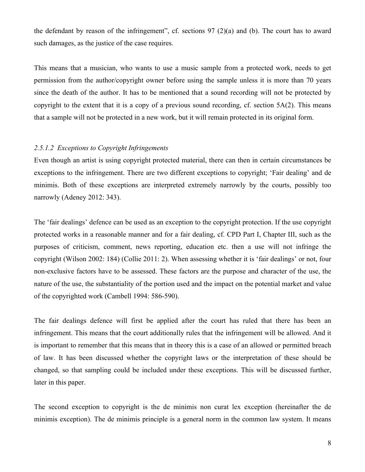the defendant by reason of the infringement", cf. sections 97 (2)(a) and (b). The court has to award such damages, as the justice of the case requires.

This means that a musician, who wants to use a music sample from a protected work, needs to get permission from the author/copyright owner before using the sample unless it is more than 70 years since the death of the author. It has to be mentioned that a sound recording will not be protected by copyright to the extent that it is a copy of a previous sound recording, cf. section 5A(2). This means that a sample will not be protected in a new work, but it will remain protected in its original form.

# *2.5.1.2 Exceptions to Copyright Infringements*

Even though an artist is using copyright protected material, there can then in certain circumstances be exceptions to the infringement. There are two different exceptions to copyright; 'Fair dealing' and de minimis. Both of these exceptions are interpreted extremely narrowly by the courts, possibly too narrowly (Adeney 2012: 343).

The 'fair dealings' defence can be used as an exception to the copyright protection. If the use copyright protected works in a reasonable manner and for a fair dealing, cf. CPD Part I, Chapter III, such as the purposes of criticism, comment, news reporting, education etc. then a use will not infringe the copyright (Wilson 2002: 184) (Collie 2011: 2). When assessing whether it is 'fair dealings' or not, four non-exclusive factors have to be assessed. These factors are the purpose and character of the use, the nature of the use, the substantiality of the portion used and the impact on the potential market and value of the copyrighted work (Cambell 1994: 586-590).

The fair dealings defence will first be applied after the court has ruled that there has been an infringement. This means that the court additionally rules that the infringement will be allowed. And it is important to remember that this means that in theory this is a case of an allowed or permitted breach of law. It has been discussed whether the copyright laws or the interpretation of these should be changed, so that sampling could be included under these exceptions. This will be discussed further, later in this paper.

The second exception to copyright is the de minimis non curat lex exception (hereinafter the de minimis exception). The de minimis principle is a general norm in the common law system. It means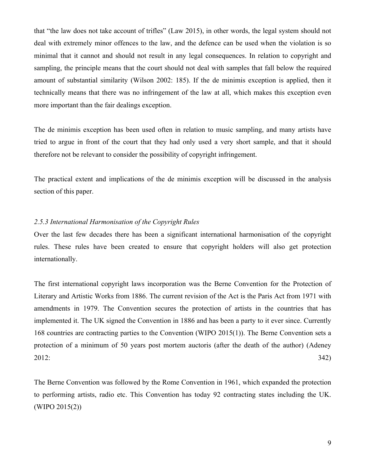that "the law does not take account of trifles" (Law 2015), in other words, the legal system should not deal with extremely minor offences to the law, and the defence can be used when the violation is so minimal that it cannot and should not result in any legal consequences. In relation to copyright and sampling, the principle means that the court should not deal with samples that fall below the required amount of substantial similarity (Wilson 2002: 185). If the de minimis exception is applied, then it technically means that there was no infringement of the law at all, which makes this exception even more important than the fair dealings exception.

The de minimis exception has been used often in relation to music sampling, and many artists have tried to argue in front of the court that they had only used a very short sample, and that it should therefore not be relevant to consider the possibility of copyright infringement.

The practical extent and implications of the de minimis exception will be discussed in the analysis section of this paper.

# *2.5.3 International Harmonisation of the Copyright Rules*

Over the last few decades there has been a significant international harmonisation of the copyright rules. These rules have been created to ensure that copyright holders will also get protection internationally.

The first international copyright laws incorporation was the Berne Convention for the Protection of Literary and Artistic Works from 1886. The current revision of the Act is the Paris Act from 1971 with amendments in 1979. The Convention secures the protection of artists in the countries that has implemented it. The UK signed the Convention in 1886 and has been a party to it ever since. Currently 168 countries are contracting parties to the Convention (WIPO 2015(1)). The Berne Convention sets a protection of a minimum of 50 years post mortem auctoris (after the death of the author) (Adeney 2012: 342)

The Berne Convention was followed by the Rome Convention in 1961, which expanded the protection to performing artists, radio etc. This Convention has today 92 contracting states including the UK. (WIPO 2015(2))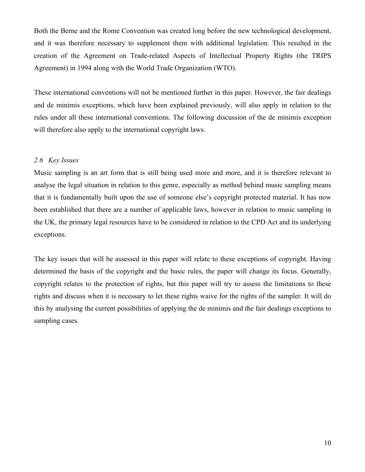Both the Berne and the Rome Convention was created long before the new technological development, and it was therefore necessary to supplement them with additional legislation. This resulted in the creation of the Agreement on Trade-related Aspects of Intellectual Property Rights (the TRIPS Agreement) in 1994 along with the World Trade Organization (WTO).

These international conventions will not be mentioned further in this paper. However, the fair dealings and de minimis exceptions, which have been explained previously, will also apply in relation to the rules under all these international conventions. The following discussion of the de minimis exception will therefore also apply to the international copyright laws.

# *2.6 Key Issues*

Music sampling is an art form that is still being used more and more, and it is therefore relevant to analyse the legal situation in relation to this genre, especially as method behind music sampling means that it is fundamentally built upon the use of someone else's copyright protected material. It has now been established that there are a number of applicable laws, however in relation to music sampling in the UK, the primary legal resources have to be considered in relation to the CPD Act and its underlying exceptions.

The key issues that will be assessed in this paper will relate to these exceptions of copyright. Having determined the basis of the copyright and the basic rules, the paper will change its focus. Generally, copyright relates to the protection of rights, but this paper will try to assess the limitations to these rights and discuss when it is necessary to let these rights waive for the rights of the sampler. It will do this by analysing the current possibilities of applying the de minimis and the fair dealings exceptions to sampling cases.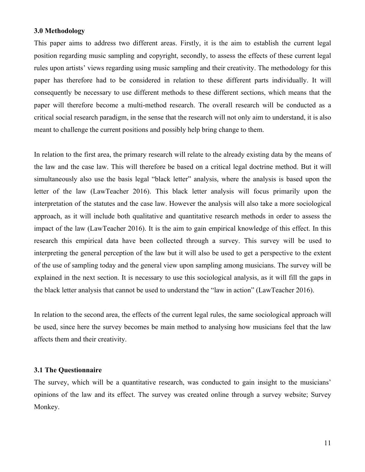#### **3.0 Methodology**

This paper aims to address two different areas. Firstly, it is the aim to establish the current legal position regarding music sampling and copyright, secondly, to assess the effects of these current legal rules upon artists' views regarding using music sampling and their creativity. The methodology for this paper has therefore had to be considered in relation to these different parts individually. It will consequently be necessary to use different methods to these different sections, which means that the paper will therefore become a multi-method research. The overall research will be conducted as a critical social research paradigm, in the sense that the research will not only aim to understand, it is also meant to challenge the current positions and possibly help bring change to them.

In relation to the first area, the primary research will relate to the already existing data by the means of the law and the case law. This will therefore be based on a critical legal doctrine method. But it will simultaneously also use the basis legal "black letter" analysis, where the analysis is based upon the letter of the law (LawTeacher 2016). This black letter analysis will focus primarily upon the interpretation of the statutes and the case law. However the analysis will also take a more sociological approach, as it will include both qualitative and quantitative research methods in order to assess the impact of the law (LawTeacher 2016). It is the aim to gain empirical knowledge of this effect. In this research this empirical data have been collected through a survey. This survey will be used to interpreting the general perception of the law but it will also be used to get a perspective to the extent of the use of sampling today and the general view upon sampling among musicians. The survey will be explained in the next section. It is necessary to use this sociological analysis, as it will fill the gaps in the black letter analysis that cannot be used to understand the "law in action" (LawTeacher 2016).

In relation to the second area, the effects of the current legal rules, the same sociological approach will be used, since here the survey becomes be main method to analysing how musicians feel that the law affects them and their creativity.

# **3.1 The Questionnaire**

The survey, which will be a quantitative research, was conducted to gain insight to the musicians' opinions of the law and its effect. The survey was created online through a survey website; Survey Monkey.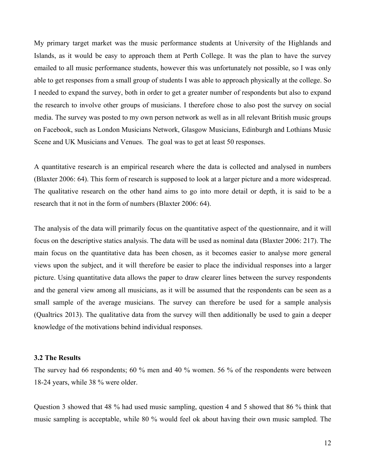My primary target market was the music performance students at University of the Highlands and Islands, as it would be easy to approach them at Perth College. It was the plan to have the survey emailed to all music performance students, however this was unfortunately not possible, so I was only able to get responses from a small group of students I was able to approach physically at the college. So I needed to expand the survey, both in order to get a greater number of respondents but also to expand the research to involve other groups of musicians. I therefore chose to also post the survey on social media. The survey was posted to my own person network as well as in all relevant British music groups on Facebook, such as London Musicians Network, Glasgow Musicians, Edinburgh and Lothians Music Scene and UK Musicians and Venues. The goal was to get at least 50 responses.

A quantitative research is an empirical research where the data is collected and analysed in numbers (Blaxter 2006: 64). This form of research is supposed to look at a larger picture and a more widespread. The qualitative research on the other hand aims to go into more detail or depth, it is said to be a research that it not in the form of numbers (Blaxter 2006: 64).

The analysis of the data will primarily focus on the quantitative aspect of the questionnaire, and it will focus on the descriptive statics analysis. The data will be used as nominal data (Blaxter 2006: 217). The main focus on the quantitative data has been chosen, as it becomes easier to analyse more general views upon the subject, and it will therefore be easier to place the individual responses into a larger picture. Using quantitative data allows the paper to draw clearer lines between the survey respondents and the general view among all musicians, as it will be assumed that the respondents can be seen as a small sample of the average musicians. The survey can therefore be used for a sample analysis (Qualtrics 2013). The qualitative data from the survey will then additionally be used to gain a deeper knowledge of the motivations behind individual responses.

#### **3.2 The Results**

The survey had 66 respondents; 60 % men and 40 % women. 56 % of the respondents were between 18-24 years, while 38 % were older.

Question 3 showed that 48 % had used music sampling, question 4 and 5 showed that 86 % think that music sampling is acceptable, while 80 % would feel ok about having their own music sampled. The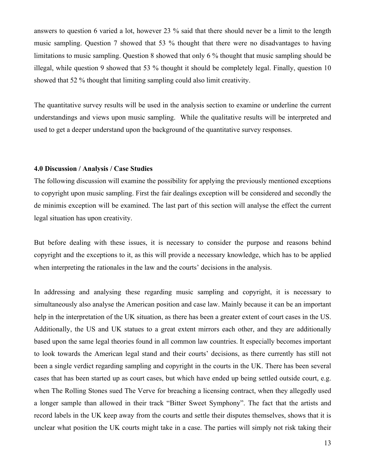answers to question 6 varied a lot, however 23 % said that there should never be a limit to the length music sampling. Question 7 showed that 53 % thought that there were no disadvantages to having limitations to music sampling. Question 8 showed that only 6 % thought that music sampling should be illegal, while question 9 showed that 53 % thought it should be completely legal. Finally, question 10 showed that 52 % thought that limiting sampling could also limit creativity.

The quantitative survey results will be used in the analysis section to examine or underline the current understandings and views upon music sampling. While the qualitative results will be interpreted and used to get a deeper understand upon the background of the quantitative survey responses.

### **4.0 Discussion / Analysis / Case Studies**

The following discussion will examine the possibility for applying the previously mentioned exceptions to copyright upon music sampling. First the fair dealings exception will be considered and secondly the de minimis exception will be examined. The last part of this section will analyse the effect the current legal situation has upon creativity.

But before dealing with these issues, it is necessary to consider the purpose and reasons behind copyright and the exceptions to it, as this will provide a necessary knowledge, which has to be applied when interpreting the rationales in the law and the courts' decisions in the analysis.

In addressing and analysing these regarding music sampling and copyright, it is necessary to simultaneously also analyse the American position and case law. Mainly because it can be an important help in the interpretation of the UK situation, as there has been a greater extent of court cases in the US. Additionally, the US and UK statues to a great extent mirrors each other, and they are additionally based upon the same legal theories found in all common law countries. It especially becomes important to look towards the American legal stand and their courts' decisions, as there currently has still not been a single verdict regarding sampling and copyright in the courts in the UK. There has been several cases that has been started up as court cases, but which have ended up being settled outside court, e.g. when The Rolling Stones sued The Verve for breaching a licensing contract, when they allegedly used a longer sample than allowed in their track "Bitter Sweet Symphony". The fact that the artists and record labels in the UK keep away from the courts and settle their disputes themselves, shows that it is unclear what position the UK courts might take in a case. The parties will simply not risk taking their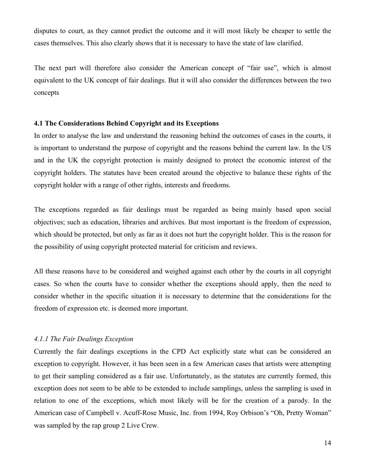disputes to court, as they cannot predict the outcome and it will most likely be cheaper to settle the cases themselves. This also clearly shows that it is necessary to have the state of law clarified.

The next part will therefore also consider the American concept of "fair use", which is almost equivalent to the UK concept of fair dealings. But it will also consider the differences between the two concepts

# **4.1 The Considerations Behind Copyright and its Exceptions**

In order to analyse the law and understand the reasoning behind the outcomes of cases in the courts, it is important to understand the purpose of copyright and the reasons behind the current law. In the US and in the UK the copyright protection is mainly designed to protect the economic interest of the copyright holders. The statutes have been created around the objective to balance these rights of the copyright holder with a range of other rights, interests and freedoms.

The exceptions regarded as fair dealings must be regarded as being mainly based upon social objectives; such as education, libraries and archives. But most important is the freedom of expression, which should be protected, but only as far as it does not hurt the copyright holder. This is the reason for the possibility of using copyright protected material for criticism and reviews.

All these reasons have to be considered and weighed against each other by the courts in all copyright cases. So when the courts have to consider whether the exceptions should apply, then the need to consider whether in the specific situation it is necessary to determine that the considerations for the freedom of expression etc. is deemed more important.

# *4.1.1 The Fair Dealings Exception*

Currently the fair dealings exceptions in the CPD Act explicitly state what can be considered an exception to copyright. However, it has been seen in a few American cases that artists were attempting to get their sampling considered as a fair use. Unfortunately, as the statutes are currently formed, this exception does not seem to be able to be extended to include samplings, unless the sampling is used in relation to one of the exceptions, which most likely will be for the creation of a parody. In the American case of Campbell v. Acuff-Rose Music, Inc. from 1994, Roy Orbison's "Oh, Pretty Woman" was sampled by the rap group 2 Live Crew.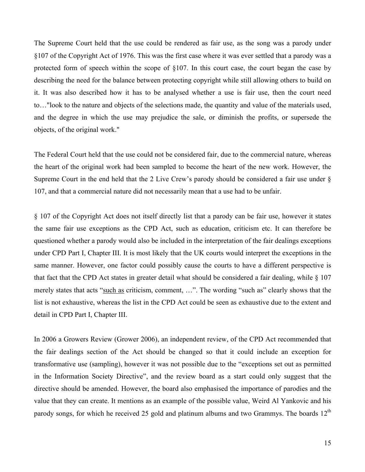The Supreme Court held that the use could be rendered as fair use, as the song was a parody under §107 of the Copyright Act of 1976. This was the first case where it was ever settled that a parody was a protected form of speech within the scope of §107. In this court case, the court began the case by describing the need for the balance between protecting copyright while still allowing others to build on it. It was also described how it has to be analysed whether a use is fair use, then the court need to…"look to the nature and objects of the selections made, the quantity and value of the materials used, and the degree in which the use may prejudice the sale, or diminish the profits, or supersede the objects, of the original work."

The Federal Court held that the use could not be considered fair, due to the commercial nature, whereas the heart of the original work had been sampled to become the heart of the new work. However, the Supreme Court in the end held that the 2 Live Crew's parody should be considered a fair use under § 107, and that a commercial nature did not necessarily mean that a use had to be unfair.

§ 107 of the Copyright Act does not itself directly list that a parody can be fair use, however it states the same fair use exceptions as the CPD Act, such as education, criticism etc. It can therefore be questioned whether a parody would also be included in the interpretation of the fair dealings exceptions under CPD Part I, Chapter III. It is most likely that the UK courts would interpret the exceptions in the same manner. However, one factor could possibly cause the courts to have a different perspective is that fact that the CPD Act states in greater detail what should be considered a fair dealing, while § 107 merely states that acts "such as criticism, comment, …". The wording "such as" clearly shows that the list is not exhaustive, whereas the list in the CPD Act could be seen as exhaustive due to the extent and detail in CPD Part I, Chapter III.

In 2006 a Growers Review (Grower 2006), an independent review, of the CPD Act recommended that the fair dealings section of the Act should be changed so that it could include an exception for transformative use (sampling), however it was not possible due to the "exceptions set out as permitted in the Information Society Directive", and the review board as a start could only suggest that the directive should be amended. However, the board also emphasised the importance of parodies and the value that they can create. It mentions as an example of the possible value, Weird Al Yankovic and his parody songs, for which he received 25 gold and platinum albums and two Grammys. The boards  $12<sup>th</sup>$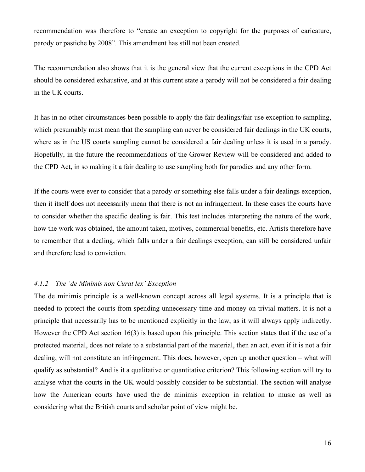recommendation was therefore to "create an exception to copyright for the purposes of caricature, parody or pastiche by 2008". This amendment has still not been created.

The recommendation also shows that it is the general view that the current exceptions in the CPD Act should be considered exhaustive, and at this current state a parody will not be considered a fair dealing in the UK courts.

It has in no other circumstances been possible to apply the fair dealings/fair use exception to sampling, which presumably must mean that the sampling can never be considered fair dealings in the UK courts, where as in the US courts sampling cannot be considered a fair dealing unless it is used in a parody. Hopefully, in the future the recommendations of the Grower Review will be considered and added to the CPD Act, in so making it a fair dealing to use sampling both for parodies and any other form.

If the courts were ever to consider that a parody or something else falls under a fair dealings exception, then it itself does not necessarily mean that there is not an infringement. In these cases the courts have to consider whether the specific dealing is fair. This test includes interpreting the nature of the work, how the work was obtained, the amount taken, motives, commercial benefits, etc. Artists therefore have to remember that a dealing, which falls under a fair dealings exception, can still be considered unfair and therefore lead to conviction.

# *4.1.2 The 'de Minimis non Curat lex' Exception*

The de minimis principle is a well-known concept across all legal systems. It is a principle that is needed to protect the courts from spending unnecessary time and money on trivial matters. It is not a principle that necessarily has to be mentioned explicitly in the law, as it will always apply indirectly. However the CPD Act section 16(3) is based upon this principle. This section states that if the use of a protected material, does not relate to a substantial part of the material, then an act, even if it is not a fair dealing, will not constitute an infringement. This does, however, open up another question – what will qualify as substantial? And is it a qualitative or quantitative criterion? This following section will try to analyse what the courts in the UK would possibly consider to be substantial. The section will analyse how the American courts have used the de minimis exception in relation to music as well as considering what the British courts and scholar point of view might be.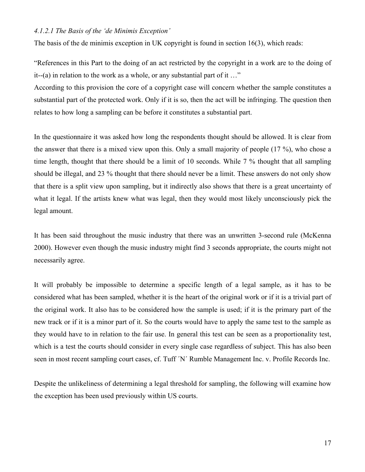# *4.1.2.1 The Basis of the 'de Minimis Exception'*

The basis of the de minimis exception in UK copyright is found in section 16(3), which reads:

"References in this Part to the doing of an act restricted by the copyright in a work are to the doing of it--(a) in relation to the work as a whole, or any substantial part of it …"

According to this provision the core of a copyright case will concern whether the sample constitutes a substantial part of the protected work. Only if it is so, then the act will be infringing. The question then relates to how long a sampling can be before it constitutes a substantial part.

In the questionnaire it was asked how long the respondents thought should be allowed. It is clear from the answer that there is a mixed view upon this. Only a small majority of people (17 %), who chose a time length, thought that there should be a limit of 10 seconds. While 7 % thought that all sampling should be illegal, and 23 % thought that there should never be a limit. These answers do not only show that there is a split view upon sampling, but it indirectly also shows that there is a great uncertainty of what it legal. If the artists knew what was legal, then they would most likely unconsciously pick the legal amount.

It has been said throughout the music industry that there was an unwritten 3-second rule (McKenna 2000). However even though the music industry might find 3 seconds appropriate, the courts might not necessarily agree.

It will probably be impossible to determine a specific length of a legal sample, as it has to be considered what has been sampled, whether it is the heart of the original work or if it is a trivial part of the original work. It also has to be considered how the sample is used; if it is the primary part of the new track or if it is a minor part of it. So the courts would have to apply the same test to the sample as they would have to in relation to the fair use. In general this test can be seen as a proportionality test, which is a test the courts should consider in every single case regardless of subject. This has also been seen in most recent sampling court cases, cf. Tuff ´N´ Rumble Management Inc. v. Profile Records Inc.

Despite the unlikeliness of determining a legal threshold for sampling, the following will examine how the exception has been used previously within US courts.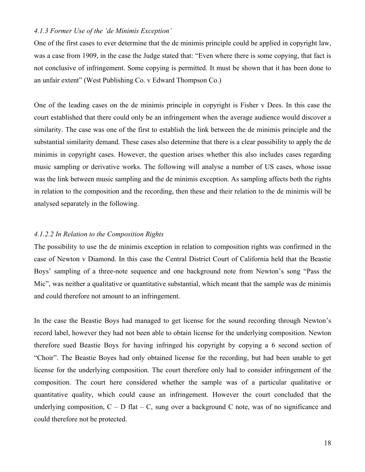# *4.1.3 Former Use of the 'de Minimis Exception'*

One of the first cases to ever determine that the de minimis principle could be applied in copyright law, was a case from 1909, in the case the Judge stated that: "Even where there is some copying, that fact is not conclusive of infringement. Some copying is permitted. It must be shown that it has been done to an unfair extent" (West Publishing Co. v Edward Thompson Co.)

One of the leading cases on the de minimis principle in copyright is Fisher v Dees. In this case the court established that there could only be an infringement when the average audience would discover a similarity. The case was one of the first to establish the link between the de minimis principle and the substantial similarity demand. These cases also determine that there is a clear possibility to apply the de minimis in copyright cases. However, the question arises whether this also includes cases regarding music sampling or derivative works. The following will analyse a number of US cases, whose issue was the link between music sampling and the de minimis exception. As sampling affects both the rights in relation to the composition and the recording, then these and their relation to the de minimis will be analysed separately in the following.

#### *4.1.2.2 In Relation to the Composition Rights*

The possibility to use the de minimis exception in relation to composition rights was confirmed in the case of Newton v Diamond. In this case the Central District Court of California held that the Beastie Boys' sampling of a three-note sequence and one background note from Newton's song "Pass the Mic", was neither a qualitative or quantitative substantial, which meant that the sample was de minimis and could therefore not amount to an infringement.

In the case the Beastie Boys had managed to get license for the sound recording through Newton's record label, however they had not been able to obtain license for the underlying composition. Newton therefore sued Beastie Boys for having infringed his copyright by copying a 6 second section of "Choir". The Beastie Boyes had only obtained license for the recording, but had been unable to get license for the underlying composition. The court therefore only had to consider infringement of the composition. The court here considered whether the sample was of a particular qualitative or quantitative quality, which could cause an infringement. However the court concluded that the underlying composition,  $C - D$  flat – C, sung over a background C note, was of no significance and could therefore not be protected.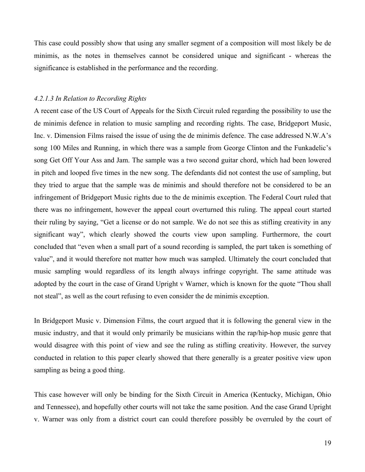This case could possibly show that using any smaller segment of a composition will most likely be de minimis, as the notes in themselves cannot be considered unique and significant - whereas the significance is established in the performance and the recording.

# *4.2.1.3 In Relation to Recording Rights*

A recent case of the US Court of Appeals for the Sixth Circuit ruled regarding the possibility to use the de minimis defence in relation to music sampling and recording rights. The case, Bridgeport Music, Inc. v. Dimension Films raised the issue of using the de minimis defence. The case addressed N.W.A's song 100 Miles and Running, in which there was a sample from George Clinton and the Funkadelic's song Get Off Your Ass and Jam. The sample was a two second guitar chord, which had been lowered in pitch and looped five times in the new song. The defendants did not contest the use of sampling, but they tried to argue that the sample was de minimis and should therefore not be considered to be an infringement of Bridgeport Music rights due to the de minimis exception. The Federal Court ruled that there was no infringement, however the appeal court overturned this ruling. The appeal court started their ruling by saying, "Get a license or do not sample. We do not see this as stifling creativity in any significant way", which clearly showed the courts view upon sampling. Furthermore, the court concluded that "even when a small part of a sound recording is sampled, the part taken is something of value", and it would therefore not matter how much was sampled. Ultimately the court concluded that music sampling would regardless of its length always infringe copyright. The same attitude was adopted by the court in the case of Grand Upright v Warner, which is known for the quote "Thou shall not steal", as well as the court refusing to even consider the de minimis exception.

In Bridgeport Music v. Dimension Films, the court argued that it is following the general view in the music industry, and that it would only primarily be musicians within the rap/hip-hop music genre that would disagree with this point of view and see the ruling as stifling creativity. However, the survey conducted in relation to this paper clearly showed that there generally is a greater positive view upon sampling as being a good thing.

This case however will only be binding for the Sixth Circuit in America (Kentucky, Michigan, Ohio and Tennessee), and hopefully other courts will not take the same position. And the case Grand Upright v. Warner was only from a district court can could therefore possibly be overruled by the court of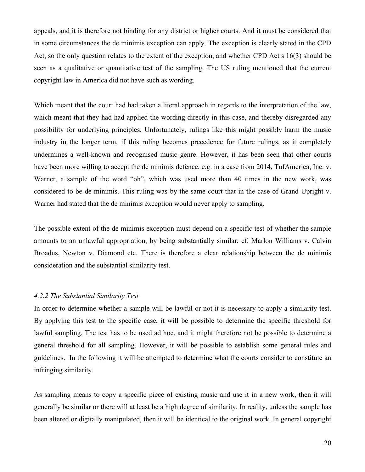appeals, and it is therefore not binding for any district or higher courts. And it must be considered that in some circumstances the de minimis exception can apply. The exception is clearly stated in the CPD Act, so the only question relates to the extent of the exception, and whether CPD Act s 16(3) should be seen as a qualitative or quantitative test of the sampling. The US ruling mentioned that the current copyright law in America did not have such as wording.

Which meant that the court had had taken a literal approach in regards to the interpretation of the law, which meant that they had had applied the wording directly in this case, and thereby disregarded any possibility for underlying principles. Unfortunately, rulings like this might possibly harm the music industry in the longer term, if this ruling becomes precedence for future rulings, as it completely undermines a well-known and recognised music genre. However, it has been seen that other courts have been more willing to accept the de minimis defence, e.g. in a case from 2014, TufAmerica, Inc. v. Warner, a sample of the word "oh", which was used more than 40 times in the new work, was considered to be de minimis. This ruling was by the same court that in the case of Grand Upright v. Warner had stated that the de minimis exception would never apply to sampling.

The possible extent of the de minimis exception must depend on a specific test of whether the sample amounts to an unlawful appropriation, by being substantially similar, cf. Marlon Williams v. Calvin Broadus, Newton v. Diamond etc. There is therefore a clear relationship between the de minimis consideration and the substantial similarity test.

# *4.2.2 The Substantial Similarity Test*

In order to determine whether a sample will be lawful or not it is necessary to apply a similarity test. By applying this test to the specific case, it will be possible to determine the specific threshold for lawful sampling. The test has to be used ad hoc, and it might therefore not be possible to determine a general threshold for all sampling. However, it will be possible to establish some general rules and guidelines. In the following it will be attempted to determine what the courts consider to constitute an infringing similarity.

As sampling means to copy a specific piece of existing music and use it in a new work, then it will generally be similar or there will at least be a high degree of similarity. In reality, unless the sample has been altered or digitally manipulated, then it will be identical to the original work. In general copyright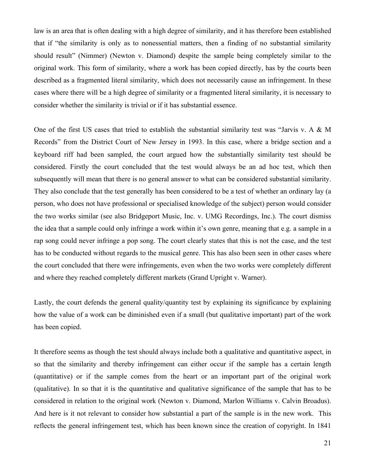law is an area that is often dealing with a high degree of similarity, and it has therefore been established that if "the similarity is only as to nonessential matters, then a finding of no substantial similarity should result" (Nimmer) (Newton v. Diamond) despite the sample being completely similar to the original work. This form of similarity, where a work has been copied directly, has by the courts been described as a fragmented literal similarity, which does not necessarily cause an infringement. In these cases where there will be a high degree of similarity or a fragmented literal similarity, it is necessary to consider whether the similarity is trivial or if it has substantial essence.

One of the first US cases that tried to establish the substantial similarity test was "Jarvis v. A & M Records" from the District Court of New Jersey in 1993. In this case, where a bridge section and a keyboard riff had been sampled, the court argued how the substantially similarity test should be considered. Firstly the court concluded that the test would always be an ad hoc test, which then subsequently will mean that there is no general answer to what can be considered substantial similarity. They also conclude that the test generally has been considered to be a test of whether an ordinary lay (a person, who does not have professional or specialised knowledge of the subject) person would consider the two works similar (see also Bridgeport Music, Inc. v. UMG Recordings, Inc.). The court dismiss the idea that a sample could only infringe a work within it's own genre, meaning that e.g. a sample in a rap song could never infringe a pop song. The court clearly states that this is not the case, and the test has to be conducted without regards to the musical genre. This has also been seen in other cases where the court concluded that there were infringements, even when the two works were completely different and where they reached completely different markets (Grand Upright v. Warner).

Lastly, the court defends the general quality/quantity test by explaining its significance by explaining how the value of a work can be diminished even if a small (but qualitative important) part of the work has been copied.

It therefore seems as though the test should always include both a qualitative and quantitative aspect, in so that the similarity and thereby infringement can either occur if the sample has a certain length (quantitative) or if the sample comes from the heart or an important part of the original work (qualitative). In so that it is the quantitative and qualitative significance of the sample that has to be considered in relation to the original work (Newton v. Diamond, Marlon Williams v. Calvin Broadus). And here is it not relevant to consider how substantial a part of the sample is in the new work. This reflects the general infringement test, which has been known since the creation of copyright. In 1841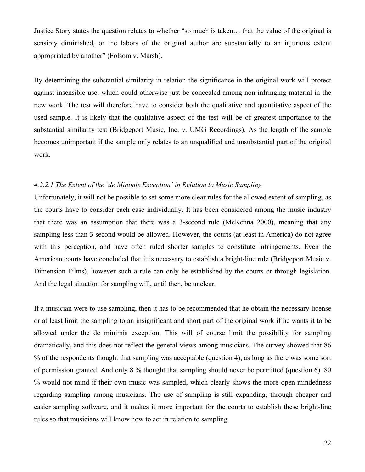Justice Story states the question relates to whether "so much is taken… that the value of the original is sensibly diminished, or the labors of the original author are substantially to an injurious extent appropriated by another" (Folsom v. Marsh).

By determining the substantial similarity in relation the significance in the original work will protect against insensible use, which could otherwise just be concealed among non-infringing material in the new work. The test will therefore have to consider both the qualitative and quantitative aspect of the used sample. It is likely that the qualitative aspect of the test will be of greatest importance to the substantial similarity test (Bridgeport Music, Inc. v. UMG Recordings). As the length of the sample becomes unimportant if the sample only relates to an unqualified and unsubstantial part of the original work.

## *4.2.2.1 The Extent of the 'de Minimis Exception' in Relation to Music Sampling*

Unfortunately, it will not be possible to set some more clear rules for the allowed extent of sampling, as the courts have to consider each case individually. It has been considered among the music industry that there was an assumption that there was a 3-second rule (McKenna 2000), meaning that any sampling less than 3 second would be allowed. However, the courts (at least in America) do not agree with this perception, and have often ruled shorter samples to constitute infringements. Even the American courts have concluded that it is necessary to establish a bright-line rule (Bridgeport Music v. Dimension Films), however such a rule can only be established by the courts or through legislation. And the legal situation for sampling will, until then, be unclear.

If a musician were to use sampling, then it has to be recommended that he obtain the necessary license or at least limit the sampling to an insignificant and short part of the original work if he wants it to be allowed under the de minimis exception. This will of course limit the possibility for sampling dramatically, and this does not reflect the general views among musicians. The survey showed that 86 % of the respondents thought that sampling was acceptable (question 4), as long as there was some sort of permission granted. And only 8 % thought that sampling should never be permitted (question 6). 80 % would not mind if their own music was sampled, which clearly shows the more open-mindedness regarding sampling among musicians. The use of sampling is still expanding, through cheaper and easier sampling software, and it makes it more important for the courts to establish these bright-line rules so that musicians will know how to act in relation to sampling.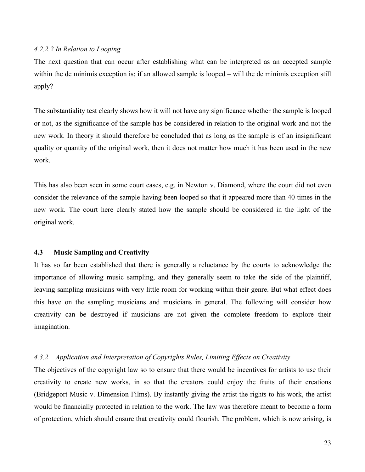# *4.2.2.2 In Relation to Looping*

The next question that can occur after establishing what can be interpreted as an accepted sample within the de minimis exception is; if an allowed sample is looped – will the de minimis exception still apply?

The substantiality test clearly shows how it will not have any significance whether the sample is looped or not, as the significance of the sample has be considered in relation to the original work and not the new work. In theory it should therefore be concluded that as long as the sample is of an insignificant quality or quantity of the original work, then it does not matter how much it has been used in the new work.

This has also been seen in some court cases, e.g. in Newton v. Diamond, where the court did not even consider the relevance of the sample having been looped so that it appeared more than 40 times in the new work. The court here clearly stated how the sample should be considered in the light of the original work.

# **4.3 Music Sampling and Creativity**

It has so far been established that there is generally a reluctance by the courts to acknowledge the importance of allowing music sampling, and they generally seem to take the side of the plaintiff, leaving sampling musicians with very little room for working within their genre. But what effect does this have on the sampling musicians and musicians in general. The following will consider how creativity can be destroyed if musicians are not given the complete freedom to explore their imagination.

#### *4.3.2 Application and Interpretation of Copyrights Rules, Limiting Effects on Creativity*

The objectives of the copyright law so to ensure that there would be incentives for artists to use their creativity to create new works, in so that the creators could enjoy the fruits of their creations (Bridgeport Music v. Dimension Films). By instantly giving the artist the rights to his work, the artist would be financially protected in relation to the work. The law was therefore meant to become a form of protection, which should ensure that creativity could flourish. The problem, which is now arising, is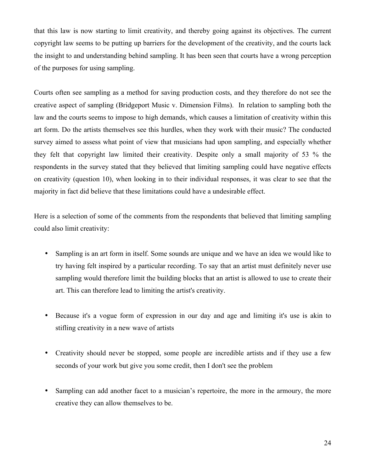that this law is now starting to limit creativity, and thereby going against its objectives. The current copyright law seems to be putting up barriers for the development of the creativity, and the courts lack the insight to and understanding behind sampling. It has been seen that courts have a wrong perception of the purposes for using sampling.

Courts often see sampling as a method for saving production costs, and they therefore do not see the creative aspect of sampling (Bridgeport Music v. Dimension Films). In relation to sampling both the law and the courts seems to impose to high demands, which causes a limitation of creativity within this art form. Do the artists themselves see this hurdles, when they work with their music? The conducted survey aimed to assess what point of view that musicians had upon sampling, and especially whether they felt that copyright law limited their creativity. Despite only a small majority of 53 % the respondents in the survey stated that they believed that limiting sampling could have negative effects on creativity (question 10), when looking in to their individual responses, it was clear to see that the majority in fact did believe that these limitations could have a undesirable effect.

Here is a selection of some of the comments from the respondents that believed that limiting sampling could also limit creativity:

- Sampling is an art form in itself. Some sounds are unique and we have an idea we would like to try having felt inspired by a particular recording. To say that an artist must definitely never use sampling would therefore limit the building blocks that an artist is allowed to use to create their art. This can therefore lead to limiting the artist's creativity.
- Because it's a vogue form of expression in our day and age and limiting it's use is akin to stifling creativity in a new wave of artists
- Creativity should never be stopped, some people are incredible artists and if they use a few seconds of your work but give you some credit, then I don't see the problem
- Sampling can add another facet to a musician's repertoire, the more in the armoury, the more creative they can allow themselves to be.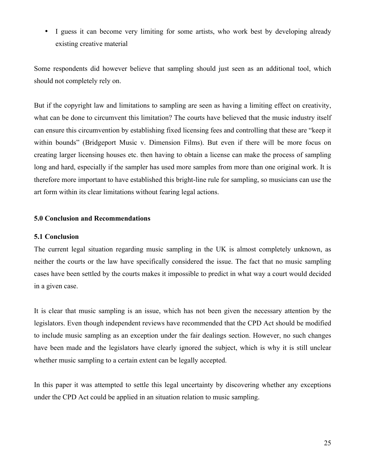• I guess it can become very limiting for some artists, who work best by developing already existing creative material

Some respondents did however believe that sampling should just seen as an additional tool, which should not completely rely on.

But if the copyright law and limitations to sampling are seen as having a limiting effect on creativity, what can be done to circumvent this limitation? The courts have believed that the music industry itself can ensure this circumvention by establishing fixed licensing fees and controlling that these are "keep it within bounds" (Bridgeport Music v. Dimension Films). But even if there will be more focus on creating larger licensing houses etc. then having to obtain a license can make the process of sampling long and hard, especially if the sampler has used more samples from more than one original work. It is therefore more important to have established this bright-line rule for sampling, so musicians can use the art form within its clear limitations without fearing legal actions.

# **5.0 Conclusion and Recommendations**

### **5.1 Conclusion**

The current legal situation regarding music sampling in the UK is almost completely unknown, as neither the courts or the law have specifically considered the issue. The fact that no music sampling cases have been settled by the courts makes it impossible to predict in what way a court would decided in a given case.

It is clear that music sampling is an issue, which has not been given the necessary attention by the legislators. Even though independent reviews have recommended that the CPD Act should be modified to include music sampling as an exception under the fair dealings section. However, no such changes have been made and the legislators have clearly ignored the subject, which is why it is still unclear whether music sampling to a certain extent can be legally accepted.

In this paper it was attempted to settle this legal uncertainty by discovering whether any exceptions under the CPD Act could be applied in an situation relation to music sampling.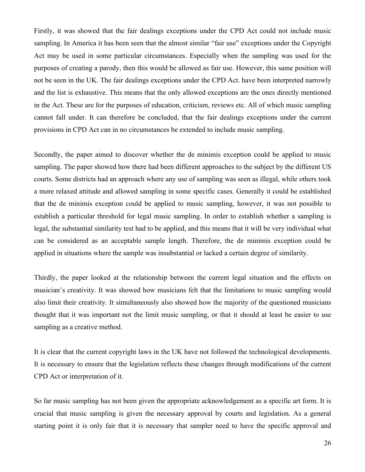Firstly, it was showed that the fair dealings exceptions under the CPD Act could not include music sampling. In America it has been seen that the almost similar "fair use" exceptions under the Copyright Act may be used in some particular circumstances. Especially when the sampling was used for the purposes of creating a parody, then this would be allowed as fair use. However, this same position will not be seen in the UK. The fair dealings exceptions under the CPD Act. have been interpreted narrowly and the list is exhaustive. This means that the only allowed exceptions are the ones directly mentioned in the Act. These are for the purposes of education, criticism, reviews etc. All of which music sampling cannot fall under. It can therefore be concluded, that the fair dealings exceptions under the current provisions in CPD Act can in no circumstances be extended to include music sampling.

Secondly, the paper aimed to discover whether the de minimis exception could be applied to music sampling. The paper showed how there had been different approaches to the subject by the different US courts. Some districts had an approach where any use of sampling was seen as illegal, while others took a more relaxed attitude and allowed sampling in some specific cases. Generally it could be established that the de minimis exception could be applied to music sampling, however, it was not possible to establish a particular threshold for legal music sampling. In order to establish whether a sampling is legal, the substantial similarity test had to be applied, and this means that it will be very individual what can be considered as an acceptable sample length. Therefore, the de minimis exception could be applied in situations where the sample was insubstantial or lacked a certain degree of similarity.

Thirdly, the paper looked at the relationship between the current legal situation and the effects on musician's creativity. It was showed how musicians felt that the limitations to music sampling would also limit their creativity. It simultaneously also showed how the majority of the questioned musicians thought that it was important not the limit music sampling, or that it should at least be easier to use sampling as a creative method.

It is clear that the current copyright laws in the UK have not followed the technological developments. It is necessary to ensure that the legislation reflects these changes through modifications of the current CPD Act or interpretation of it.

So far music sampling has not been given the appropriate acknowledgement as a specific art form. It is crucial that music sampling is given the necessary approval by courts and legislation. As a general starting point it is only fair that it is necessary that sampler need to have the specific approval and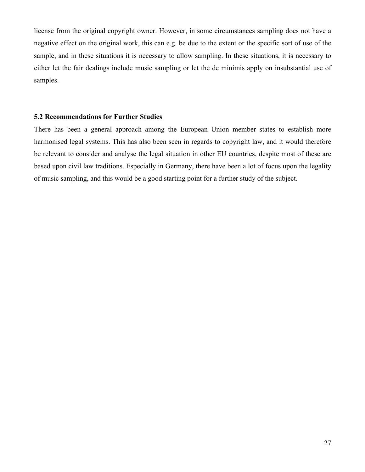license from the original copyright owner. However, in some circumstances sampling does not have a negative effect on the original work, this can e.g. be due to the extent or the specific sort of use of the sample, and in these situations it is necessary to allow sampling. In these situations, it is necessary to either let the fair dealings include music sampling or let the de minimis apply on insubstantial use of samples.

# **5.2 Recommendations for Further Studies**

There has been a general approach among the European Union member states to establish more harmonised legal systems. This has also been seen in regards to copyright law, and it would therefore be relevant to consider and analyse the legal situation in other EU countries, despite most of these are based upon civil law traditions. Especially in Germany, there have been a lot of focus upon the legality of music sampling, and this would be a good starting point for a further study of the subject.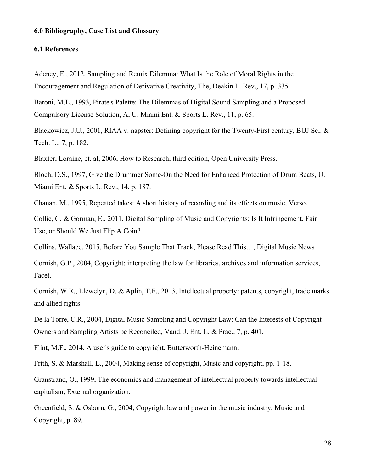#### **6.0 Bibliography, Case List and Glossary**

#### **6.1 References**

Adeney, E., 2012, Sampling and Remix Dilemma: What Is the Role of Moral Rights in the Encouragement and Regulation of Derivative Creativity, The, Deakin L. Rev., 17, p. 335.

Baroni, M.L., 1993, Pirate's Palette: The Dilemmas of Digital Sound Sampling and a Proposed Compulsory License Solution, A, U. Miami Ent. & Sports L. Rev., 11, p. 65.

Blackowicz, J.U., 2001, RIAA v. napster: Defining copyright for the Twenty-First century, BUJ Sci. & Tech. L., 7, p. 182.

Blaxter, Loraine, et. al, 2006, How to Research, third edition, Open University Press.

Bloch, D.S., 1997, Give the Drummer Some-On the Need for Enhanced Protection of Drum Beats, U. Miami Ent. & Sports L. Rev., 14, p. 187.

Chanan, M., 1995, Repeated takes: A short history of recording and its effects on music, Verso.

Collie, C. & Gorman, E., 2011, Digital Sampling of Music and Copyrights: Is It Infringement, Fair Use, or Should We Just Flip A Coin?

Collins, Wallace, 2015, Before You Sample That Track, Please Read This…, Digital Music News

Cornish, G.P., 2004, Copyright: interpreting the law for libraries, archives and information services, Facet.

Cornish, W.R., Llewelyn, D. & Aplin, T.F., 2013, Intellectual property: patents, copyright, trade marks and allied rights.

De la Torre, C.R., 2004, Digital Music Sampling and Copyright Law: Can the Interests of Copyright Owners and Sampling Artists be Reconciled, Vand. J. Ent. L. & Prac., 7, p. 401.

Flint, M.F., 2014, A user's guide to copyright, Butterworth-Heinemann.

Frith, S. & Marshall, L., 2004, Making sense of copyright, Music and copyright, pp. 1-18.

Granstrand, O., 1999, The economics and management of intellectual property towards intellectual capitalism, External organization.

Greenfield, S. & Osborn, G., 2004, Copyright law and power in the music industry, Music and Copyright, p. 89.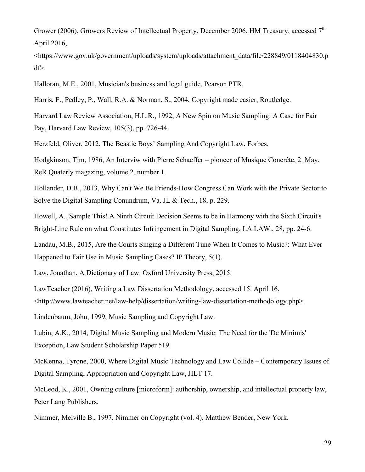Grower (2006), Growers Review of Intellectual Property, December 2006, HM Treasury, accessed 7<sup>th</sup> April 2016,

<https://www.gov.uk/government/uploads/system/uploads/attachment\_data/file/228849/0118404830.p df>.

Halloran, M.E., 2001, Musician's business and legal guide, Pearson PTR.

Harris, F., Pedley, P., Wall, R.A. & Norman, S., 2004, Copyright made easier, Routledge.

Harvard Law Review Association, H.L.R., 1992, A New Spin on Music Sampling: A Case for Fair Pay, Harvard Law Review, 105(3), pp. 726-44.

Herzfeld, Oliver, 2012, The Beastie Boys' Sampling And Copyright Law, Forbes.

Hodgkinson, Tim, 1986, An Interviw with Pierre Schaeffer – pioneer of Musique Concréte, 2. May, ReR Quaterly magazing, volume 2, number 1.

Hollander, D.B., 2013, Why Can't We Be Friends-How Congress Can Work with the Private Sector to Solve the Digital Sampling Conundrum, Va. JL & Tech., 18, p. 229.

Howell, A., Sample This! A Ninth Circuit Decision Seems to be in Harmony with the Sixth Circuit's Bright-Line Rule on what Constitutes Infringement in Digital Sampling, LA LAW., 28, pp. 24-6.

Landau, M.B., 2015, Are the Courts Singing a Different Tune When It Comes to Music?: What Ever Happened to Fair Use in Music Sampling Cases? IP Theory, 5(1).

Law, Jonathan. A Dictionary of Law. Oxford University Press, 2015.

LawTeacher (2016), Writing a Law Dissertation Methodology, accessed 15. April 16,

<http://www.lawteacher.net/law-help/dissertation/writing-law-dissertation-methodology.php>.

Lindenbaum, John, 1999, Music Sampling and Copyright Law.

Lubin, A.K., 2014, Digital Music Sampling and Modern Music: The Need for the 'De Minimis' Exception, Law Student Scholarship Paper 519.

McKenna, Tyrone, 2000, Where Digital Music Technology and Law Collide – Contemporary Issues of Digital Sampling, Appropriation and Copyright Law, JILT 17.

McLeod, K., 2001, Owning culture [microform]: authorship, ownership, and intellectual property law, Peter Lang Publishers.

Nimmer, Melville B., 1997, Nimmer on Copyright (vol. 4), Matthew Bender, New York.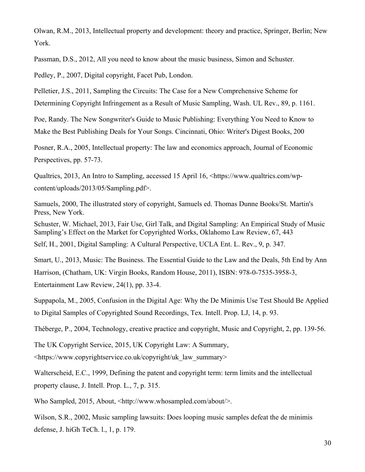Olwan, R.M., 2013, Intellectual property and development: theory and practice, Springer, Berlin; New York.

Passman, D.S., 2012, All you need to know about the music business, Simon and Schuster.

Pedley, P., 2007, Digital copyright, Facet Pub, London.

Pelletier, J.S., 2011, Sampling the Circuits: The Case for a New Comprehensive Scheme for Determining Copyright Infringement as a Result of Music Sampling, Wash. UL Rev., 89, p. 1161.

Poe, Randy. The New Songwriter's Guide to Music Publishing: Everything You Need to Know to Make the Best Publishing Deals for Your Songs. Cincinnati, Ohio: Writer's Digest Books, 200

Posner, R.A., 2005, Intellectual property: The law and economics approach, Journal of Economic Perspectives, pp. 57-73.

Qualtrics, 2013, An Intro to Sampling, accessed 15 April 16, <https://www.qualtrics.com/wpcontent/uploads/2013/05/Sampling.pdf>.

Samuels, 2000, The illustrated story of copyright, Samuels ed. Thomas Dunne Books/St. Martin's Press, New York.

Schuster, W. Michael, 2013, Fair Use, Girl Talk, and Digital Sampling: An Empirical Study of Music Sampling's Effect on the Market for Copyrighted Works, Oklahomo Law Review, 67, 443 Self, H., 2001, Digital Sampling: A Cultural Perspective, UCLA Ent. L. Rev., 9, p. 347.

Smart, U., 2013, Music: The Business. The Essential Guide to the Law and the Deals, 5th End by Ann Harrison, (Chatham, UK: Virgin Books, Random House, 2011), ISBN: 978-0-7535-3958-3, Entertainment Law Review, 24(1), pp. 33-4.

Suppapola, M., 2005, Confusion in the Digital Age: Why the De Minimis Use Test Should Be Applied to Digital Samples of Copyrighted Sound Recordings, Tex. Intell. Prop. LJ, 14, p. 93.

Théberge, P., 2004, Technology, creative practice and copyright, Music and Copyright, 2, pp. 139-56.

The UK Copyright Service, 2015, UK Copyright Law: A Summary,

<https://www.copyrightservice.co.uk/copyright/uk\_law\_summary>

Walterscheid, E.C., 1999, Defining the patent and copyright term: term limits and the intellectual property clause, J. Intell. Prop. L., 7, p. 315.

Who Sampled, 2015, About, <http://www.whosampled.com/about/>.

Wilson, S.R., 2002, Music sampling lawsuits: Does looping music samples defeat the de minimis defense, J. hiGh TeCh. l., 1, p. 179.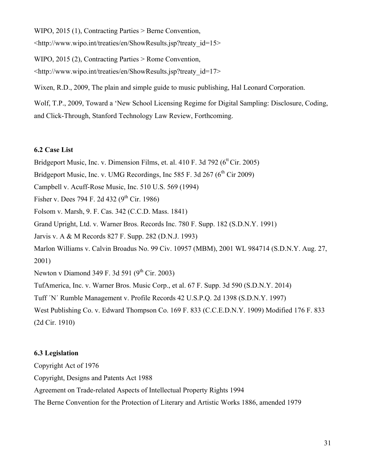WIPO, 2015 (1), Contracting Parties > Berne Convention,

<http://www.wipo.int/treaties/en/ShowResults.jsp?treaty\_id=15>

WIPO, 2015 (2), Contracting Parties > Rome Convention,

<http://www.wipo.int/treaties/en/ShowResults.jsp?treaty\_id=17>

Wixen, R.D., 2009, The plain and simple guide to music publishing, Hal Leonard Corporation.

Wolf, T.P., 2009, Toward a 'New School Licensing Regime for Digital Sampling: Disclosure, Coding, and Click-Through, Stanford Technology Law Review, Forthcoming.

# **6.2 Case List**

Bridgeport Music, Inc. v. Dimension Films, et. al.  $410$  F. 3d  $792$  ( $6<sup>tt</sup>$ Cir. 2005)

Bridgeport Music, Inc. v. UMG Recordings, Inc 585 F, 3d 267 ( $6<sup>th</sup>$  Cir 2009)

Campbell v. Acuff-Rose Music, Inc. 510 U.S. 569 (1994)

Fisher v. Dees 794 F. 2d 432 ( $9^{th}$  Cir. 1986)

Folsom v. Marsh, 9. F. Cas. 342 (C.C.D. Mass. 1841)

Grand Upright, Ltd. v. Warner Bros. Records Inc. 780 F. Supp. 182 (S.D.N.Y. 1991)

Jarvis v. A & M Records 827 F. Supp. 282 (D.N.J. 1993)

Marlon Williams v. Calvin Broadus No. 99 Civ. 10957 (MBM), 2001 WL 984714 (S.D.N.Y. Aug. 27, 2001)

Newton v Diamond 349 F. 3d 591 (9<sup>th</sup> Cir. 2003)

TufAmerica, Inc. v. Warner Bros. Music Corp., et al. 67 F. Supp. 3d 590 (S.D.N.Y. 2014)

Tuff ´N´ Rumble Management v. Profile Records 42 U.S.P.Q. 2d 1398 (S.D.N.Y. 1997)

West Publishing Co. v. Edward Thompson Co. 169 F. 833 (C.C.E.D.N.Y. 1909) Modified 176 F. 833 (2d Cir. 1910)

# **6.3 Legislation**

Copyright Act of 1976

Copyright, Designs and Patents Act 1988

Agreement on Trade-related Aspects of Intellectual Property Rights 1994

The Berne Convention for the Protection of Literary and Artistic Works 1886, amended 1979